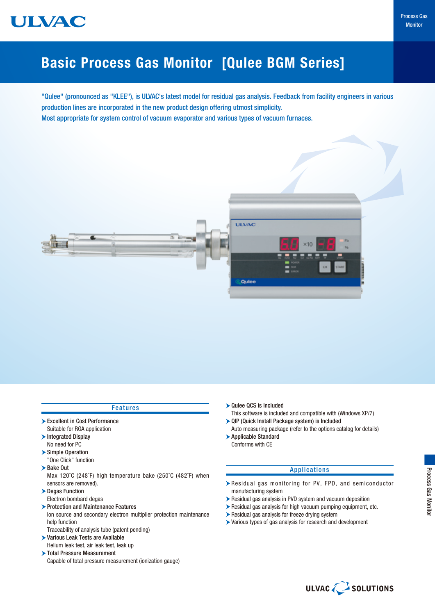

# Basic Process Gas Monitor [Qulee BGM Series]

"Qulee" (pronounced as "KLEE"), is ULVAC's latest model for residual gas analysis. Feedback from facility engineers in various production lines are incorporated in the new product design offering utmost simplicity. Most appropriate for system control of vacuum evaporator and various types of vacuum furnaces.



| <b>Features</b>                                                     |                                         |  |
|---------------------------------------------------------------------|-----------------------------------------|--|
| Excellent in Cost Performance                                       | This soft<br>$\triangleright$ QIP (Quid |  |
| Suitable for RGA application                                        | Auto mea                                |  |
| Integrated Display                                                  | $\blacktriangleright$ Applicab          |  |
| No need for PC                                                      | Conform:                                |  |
| Simple Operation                                                    |                                         |  |
| "One Click" function                                                |                                         |  |
| $\blacktriangleright$ Bake Out                                      |                                         |  |
| Max 120°C (248°F) high temperature bake (250°C (482°F) when         |                                         |  |
| sensors are removed).                                               | $\blacktriangleright$ Residua           |  |
| Degas Function                                                      | manufac                                 |  |
| Electron bombard degas                                              | $\blacktriangleright$ Residual          |  |
| ▶ Protection and Maintenance Features                               | $\blacktriangleright$ Residual          |  |
| lon source and secondary electron multiplier protection maintenance | $\blacktriangleright$ Residual          |  |
| help function                                                       | $\blacktriangleright$ Various t         |  |
| Traceability of analysis tube (patent pending)                      |                                         |  |
| ▶ Various Leak Tests are Available                                  |                                         |  |
| Helium leak test, air leak test, leak up                            |                                         |  |
| >Total Pressure Measurement                                         |                                         |  |
| Capable of total pressure measurement (ionization gauge)            |                                         |  |

- CS is Included ware is included and compatible with (Windows XP/7)
- ck Install Package system) is Included asuring package (refer to the options catalog for details)
- **Ie Standard** s with CE

### Applications

- al gas monitoring for PV, FPD, and semiconductor turing system
- gas analysis in PVD system and vacuum deposition
- gas analysis for high vacuum pumping equipment, etc.
- gas analysis for freeze drying system
- ypes of gas analysis for research and development